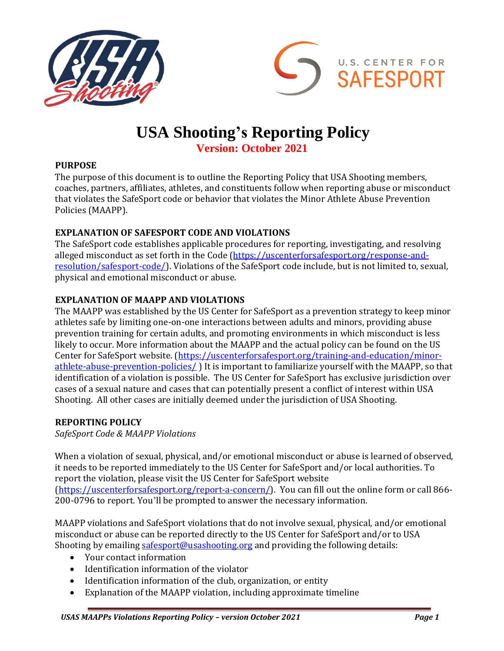



# **USA Shooting's Reporting Policy**

**Version: October 2021**

### **PURPOSE**

The purpose of this document is to outline the Reporting Policy that USA Shooting members, coaches, partners, affiliates, athletes, and constituents follow when reporting abuse or misconduct that violates the SafeSport code or behavior that violates the Minor Athlete Abuse Prevention Policies (MAAPP).

# **EXPLANATION OF SAFESPORT CODE AND VIOLATIONS**

The SafeSport code establishes applicable procedures for reporting, investigating, and resolving alleged misconduct as set forth in the Code [\(https://uscenterforsafesport.org/response-and](https://uscenterforsafesport.org/response-and-resolution/safesport-code/)[resolution/safesport-code/\)](https://uscenterforsafesport.org/response-and-resolution/safesport-code/). Violations of the SafeSport code include, but is not limited to, sexual, physical and emotional misconduct or abuse.

### **EXPLANATION OF MAAPP AND VIOLATIONS**

The MAAPP was established by the US Center for SafeSport as a prevention strategy to keep minor athletes safe by limiting one-on-one interactions between adults and minors, providing abuse prevention training for certain adults, and promoting environments in which misconduct is less likely to occur. More information about the MAAPP and the actual policy can be found on the US Center for SafeSport website. [\(https://uscenterforsafesport.org/training-and-education/minor](https://uscenterforsafesport.org/training-and-education/minor-athlete-abuse-prevention-policies/)[athlete-abuse-prevention-policies/](https://uscenterforsafesport.org/training-and-education/minor-athlete-abuse-prevention-policies/) ) It is important to familiarize yourself with the MAAPP, so that identification of a violation is possible. The US Center for SafeSport has exclusive jurisdiction over cases of a sexual nature and cases that can potentially present a conflict of interest within USA Shooting. All other cases are initially deemed under the jurisdiction of USA Shooting.

#### **REPORTING POLICY**

*SafeSport Code & MAAPP Violations*

When a violation of sexual, physical, and/or emotional misconduct or abuse is learned of observed, it needs to be reported immediately to the US Center for SafeSport and/or local authorities. To report the violation, please visit the US Center for SafeSport website [\(https://uscenterforsafesport.org/report-a-concern/\)](https://uscenterforsafesport.org/report-a-concern/). You can fill out the online form or call 866- 200-0796 to report. You'll be prompted to answer the necessary information.

MAAPP violations and SafeSport violations that do not involve sexual, physical, and/or emotional misconduct or abuse can be reported directly to the US Center for SafeSport and/or to USA Shooting by emailin[g safesport@usashooting.org](mailto:safesport@usashooting.org) and providing the following details:

- Your contact information
- Identification information of the violator
- Identification information of the club, organization, or entity
- Explanation of the MAAPP violation, including approximate timeline